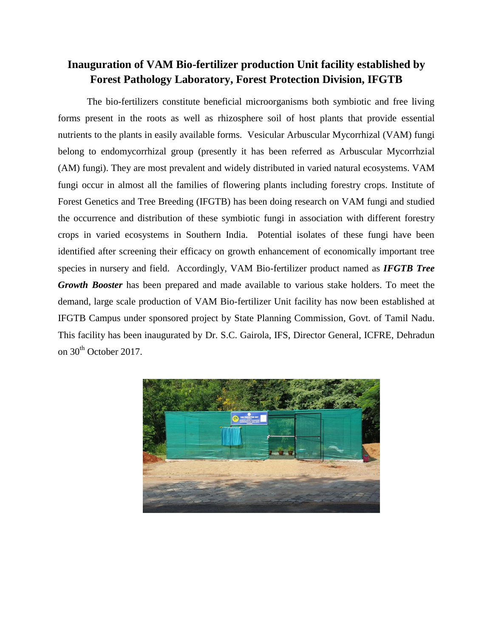## **Inauguration of VAM Bio-fertilizer production Unit facility established by Forest Pathology Laboratory, Forest Protection Division, IFGTB**

The bio-fertilizers constitute beneficial microorganisms both symbiotic and free living forms present in the roots as well as rhizosphere soil of host plants that provide essential nutrients to the plants in easily available forms. Vesicular Arbuscular Mycorrhizal (VAM) fungi belong to endomycorrhizal group (presently it has been referred as Arbuscular Mycorrhzial (AM) fungi). They are most prevalent and widely distributed in varied natural ecosystems. VAM fungi occur in almost all the families of flowering plants including forestry crops. Institute of Forest Genetics and Tree Breeding (IFGTB) has been doing research on VAM fungi and studied the occurrence and distribution of these symbiotic fungi in association with different forestry crops in varied ecosystems in Southern India. Potential isolates of these fungi have been identified after screening their efficacy on growth enhancement of economically important tree species in nursery and field. Accordingly, VAM Bio-fertilizer product named as *IFGTB Tree Growth Booster* has been prepared and made available to various stake holders. To meet the demand, large scale production of VAM Bio-fertilizer Unit facility has now been established at IFGTB Campus under sponsored project by State Planning Commission, Govt. of Tamil Nadu. This facility has been inaugurated by Dr. S.C. Gairola, IFS, Director General, ICFRE, Dehradun on 30<sup>th</sup> October 2017.

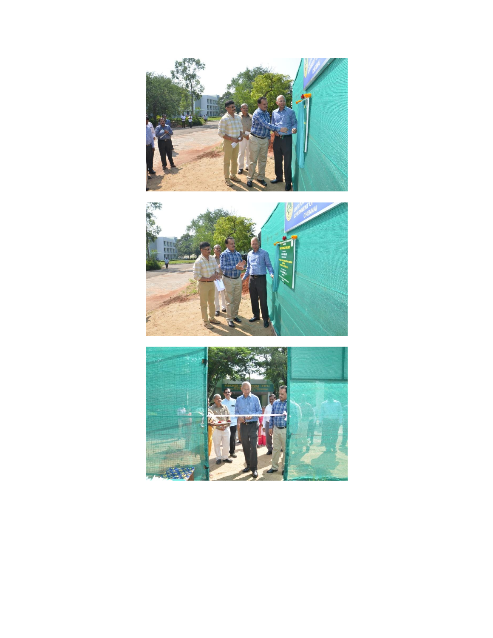



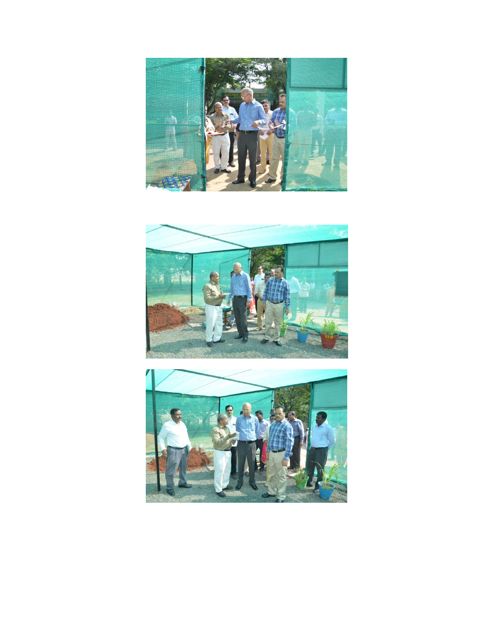